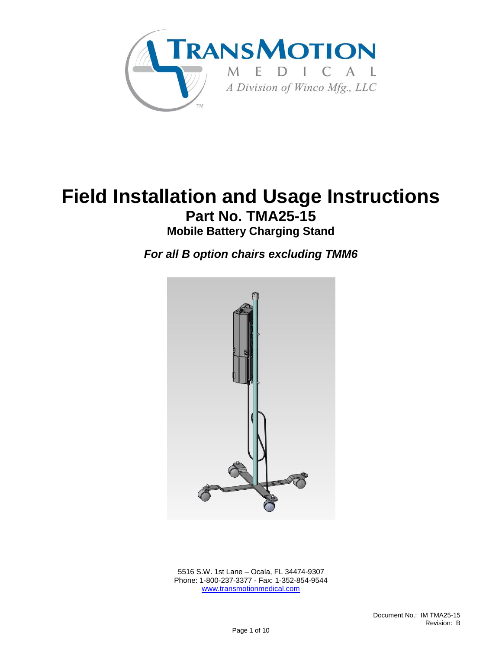

# **Field Installation and Usage Instructions Part No. TMA25-15**

**Mobile Battery Charging Stand**

*For all B option chairs excluding TMM6*



 5516 S.W. 1st Lane – Ocala, FL 34474-9307 Phone: 1-800-237-3377 - Fax: 1-352-854-9544 [www.transmotionmedical.com](http://www.transmotionmedical.com/)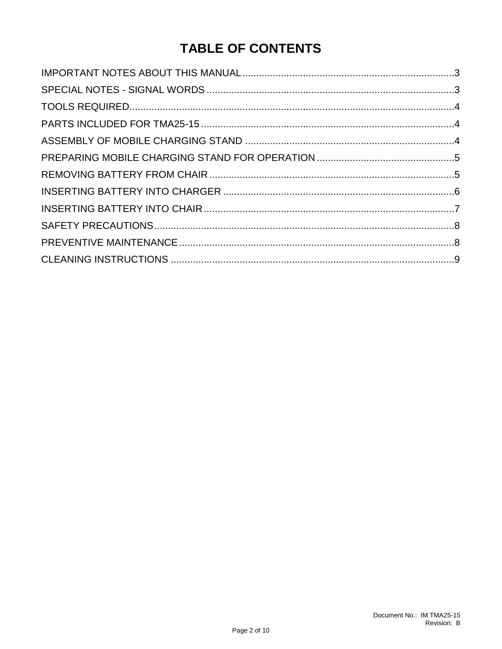# **TABLE OF CONTENTS**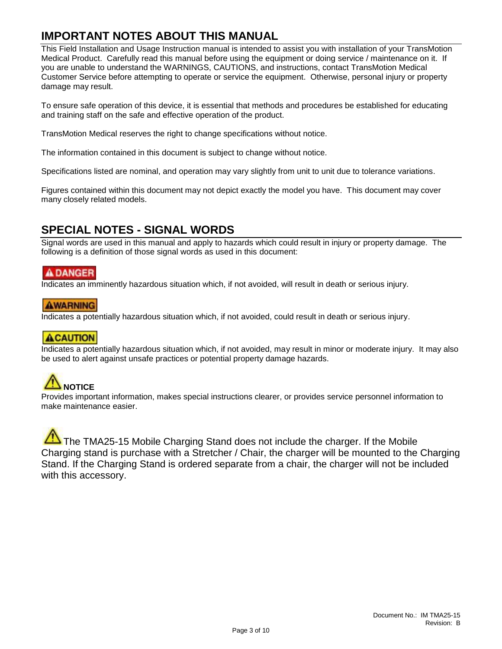#### <span id="page-2-0"></span>**IMPORTANT NOTES ABOUT THIS MANUAL**

This Field Installation and Usage Instruction manual is intended to assist you with installation of your TransMotion Medical Product. Carefully read this manual before using the equipment or doing service / maintenance on it. If you are unable to understand the WARNINGS, CAUTIONS, and instructions, contact TransMotion Medical Customer Service before attempting to operate or service the equipment. Otherwise, personal injury or property damage may result.

To ensure safe operation of this device, it is essential that methods and procedures be established for educating and training staff on the safe and effective operation of the product.

TransMotion Medical reserves the right to change specifications without notice.

The information contained in this document is subject to change without notice.

Specifications listed are nominal, and operation may vary slightly from unit to unit due to tolerance variations.

Figures contained within this document may not depict exactly the model you have. This document may cover many closely related models.

#### <span id="page-2-1"></span>**SPECIAL NOTES - SIGNAL WORDS**

Signal words are used in this manual and apply to hazards which could result in injury or property damage. The following is a definition of those signal words as used in this document:

#### **ADANGER**

Indicates an imminently hazardous situation which, if not avoided, will result in death or serious injury.

#### **AWARNING**

Indicates a potentially hazardous situation which, if not avoided, could result in death or serious injury.

#### **ACAUTION**

Indicates a potentially hazardous situation which, if not avoided, may result in minor or moderate injury. It may also be used to alert against unsafe practices or potential property damage hazards.

# **NOTICE**

Provides important information, makes special instructions clearer, or provides service personnel information to make maintenance easier.

The TMA25-15 Mobile Charging Stand does not include the charger. If the Mobile Charging stand is purchase with a Stretcher / Chair, the charger will be mounted to the Charging Stand. If the Charging Stand is ordered separate from a chair, the charger will not be included with this accessory.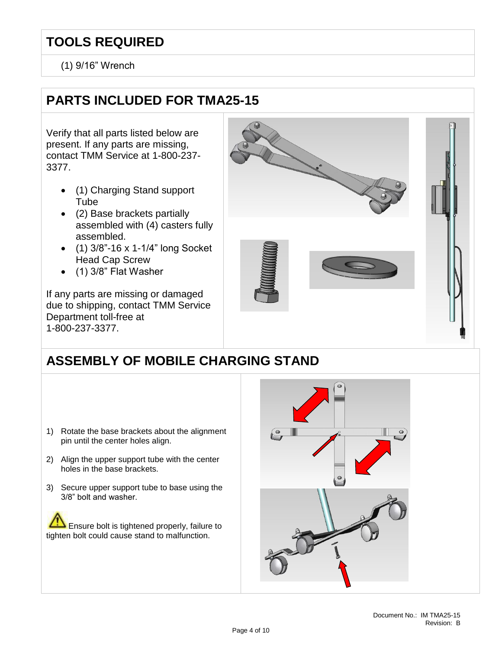### <span id="page-3-0"></span>**TOOLS REQUIRED**

(1) 9/16" Wrench

### <span id="page-3-1"></span>**PARTS INCLUDED FOR TMA25-15**

Verify that all parts listed below are present. If any parts are missing, contact TMM Service at 1-800-237- 3377.

- (1) Charging Stand support Tube
- (2) Base brackets partially assembled with (4) casters fully assembled.
- (1) 3/8"-16 x 1-1/4" long Socket Head Cap Screw
- (1) 3/8" Flat Washer

If any parts are missing or damaged due to shipping, contact TMM Service Department toll-free at 1-800-237-3377.



## <span id="page-3-2"></span>**ASSEMBLY OF MOBILE CHARGING STAND**

- 1) Rotate the base brackets about the alignment pin until the center holes align.
- 2) Align the upper support tube with the center holes in the base brackets.
- 3) Secure upper support tube to base using the 3/8" bolt and washer.

Ensure bolt is tightened properly, failure to tighten bolt could cause stand to malfunction.

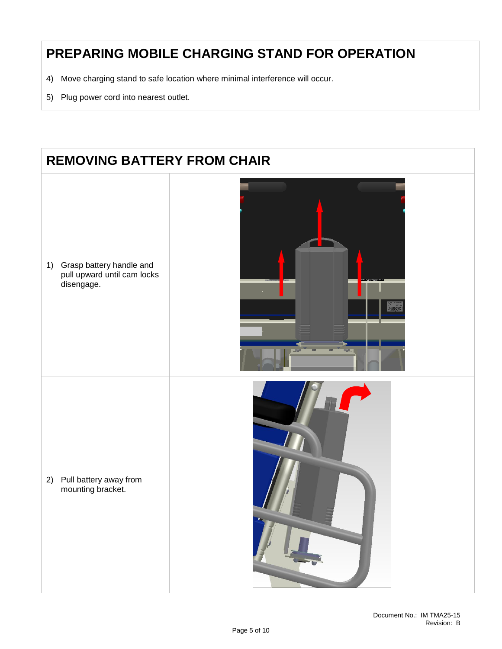### <span id="page-4-0"></span>**PREPARING MOBILE CHARGING STAND FOR OPERATION**

- 4) Move charging stand to safe location where minimal interference will occur.
- 5) Plug power cord into nearest outlet.

### <span id="page-4-1"></span>**REMOVING BATTERY FROM CHAIR**

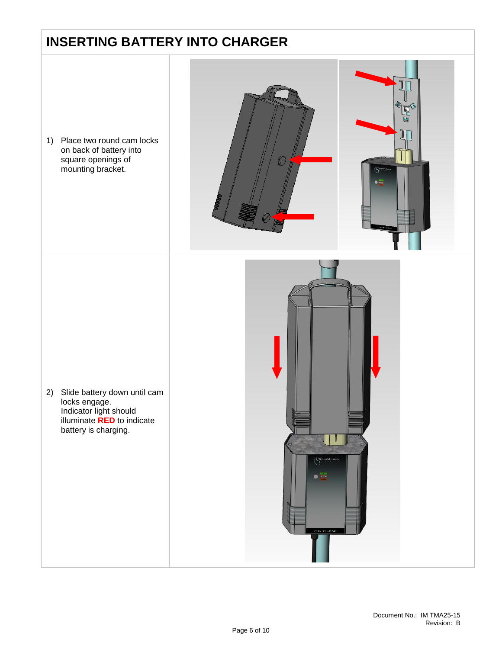### <span id="page-5-0"></span>**INSERTING BATTERY INTO CHARGER**

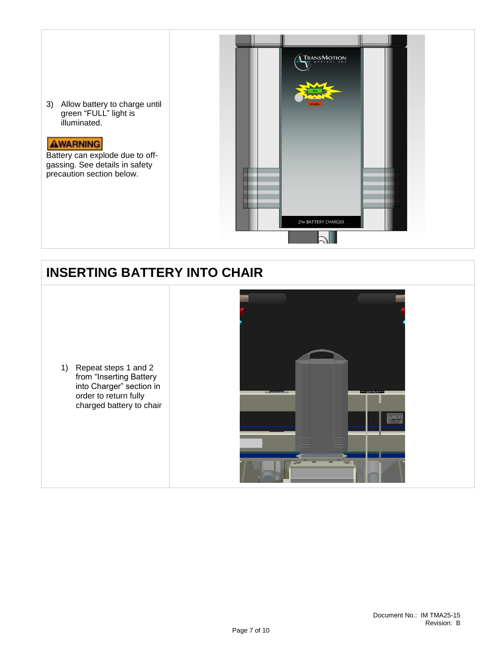

### <span id="page-6-0"></span>**INSERTING BATTERY INTO CHAIR**

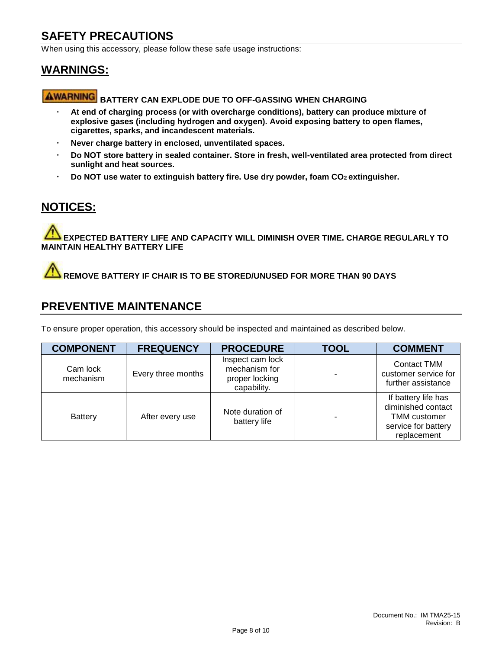#### <span id="page-7-0"></span>**SAFETY PRECAUTIONS**

When using this accessory, please follow these safe usage instructions:

#### **WARNINGS:**

## **AWARNING** BATTERY CAN EXPLODE DUE TO OFF-GASSING WHEN CHARGING

- $\ddot{\phantom{0}}$ **At end of charging process (or with overcharge conditions), battery can produce mixture of explosive gases (including hydrogen and oxygen). Avoid exposing battery to open flames, cigarettes, sparks, and incandescent materials.**
- **Never charge battery in enclosed, unventilated spaces.**  $\ddot{\phantom{0}}$
- **Do NOT store battery in sealed container. Store in fresh, well-ventilated area protected from direct sunlight and heat sources.**
- **Do NOT use water to extinguish battery fire. Use dry powder, foam CO2 extinguisher.**  $\ddot{\phantom{0}}$

#### **NOTICES:**

**EXPECTED BATTERY LIFE AND CAPACITY WILL DIMINISH OVER TIME. CHARGE REGULARLY TO MAINTAIN HEALTHY BATTERY LIFE**

**REMOVE BATTERY IF CHAIR IS TO BE STORED/UNUSED FOR MORE THAN 90 DAYS**

#### <span id="page-7-1"></span>**PREVENTIVE MAINTENANCE**

To ensure proper operation, this accessory should be inspected and maintained as described below.

| <b>COMPONENT</b>      | <b>FREQUENCY</b>   | <b>PROCEDURE</b>                                                   | <b>TOOL</b> | <b>COMMENT</b>                                                                                         |
|-----------------------|--------------------|--------------------------------------------------------------------|-------------|--------------------------------------------------------------------------------------------------------|
| Cam lock<br>mechanism | Every three months | Inspect cam lock<br>mechanism for<br>proper locking<br>capability. |             | Contact TMM<br>customer service for<br>further assistance                                              |
| <b>Battery</b>        | After every use    | Note duration of<br>battery life                                   |             | If battery life has<br>diminished contact<br><b>TMM</b> customer<br>service for battery<br>replacement |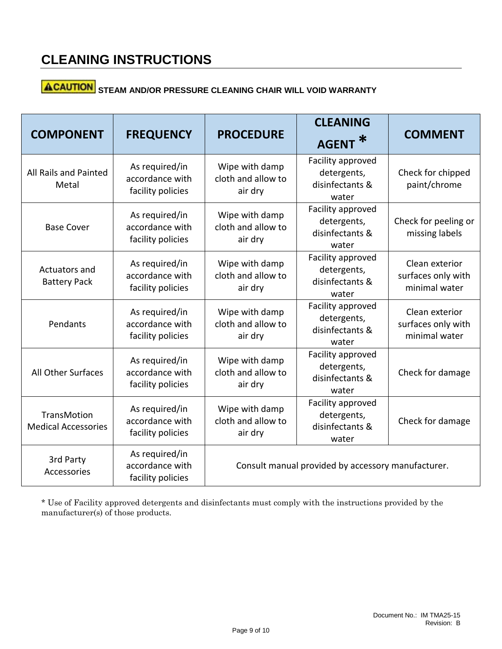# **ACAUTION** STEAM AND/OR PRESSURE CLEANING CHAIR WILL VOID WARRANTY

| <b>COMPONENT</b>                          | <b>FREQUENCY</b>                                       | <b>PROCEDURE</b>                                   | <b>CLEANING</b><br>∗<br><b>AGENT</b>                         | <b>COMMENT</b>                                        |  |
|-------------------------------------------|--------------------------------------------------------|----------------------------------------------------|--------------------------------------------------------------|-------------------------------------------------------|--|
| All Rails and Painted<br>Metal            | As required/in<br>accordance with<br>facility policies | Wipe with damp<br>cloth and allow to<br>air dry    | Facility approved<br>detergents,<br>disinfectants &<br>water | Check for chipped<br>paint/chrome                     |  |
| <b>Base Cover</b>                         | As required/in<br>accordance with<br>facility policies | Wipe with damp<br>cloth and allow to<br>air dry    | Facility approved<br>detergents,<br>disinfectants &<br>water | Check for peeling or<br>missing labels                |  |
| Actuators and<br><b>Battery Pack</b>      | As required/in<br>accordance with<br>facility policies | Wipe with damp<br>cloth and allow to<br>air dry    | Facility approved<br>detergents,<br>disinfectants &<br>water | Clean exterior<br>surfaces only with<br>minimal water |  |
| Pendants                                  | As required/in<br>accordance with<br>facility policies | Wipe with damp<br>cloth and allow to<br>air dry    | Facility approved<br>detergents,<br>disinfectants &<br>water | Clean exterior<br>surfaces only with<br>minimal water |  |
| All Other Surfaces                        | As required/in<br>accordance with<br>facility policies | Wipe with damp<br>cloth and allow to<br>air dry    | Facility approved<br>detergents,<br>disinfectants &<br>water | Check for damage                                      |  |
| TransMotion<br><b>Medical Accessories</b> | As required/in<br>accordance with<br>facility policies | Wipe with damp<br>cloth and allow to<br>air dry    | Facility approved<br>detergents,<br>disinfectants &<br>water | Check for damage                                      |  |
| 3rd Party<br>Accessories                  | As required/in<br>accordance with<br>facility policies | Consult manual provided by accessory manufacturer. |                                                              |                                                       |  |

\* Use of Facility approved detergents and disinfectants must comply with the instructions provided by the manufacturer(s) of those products.